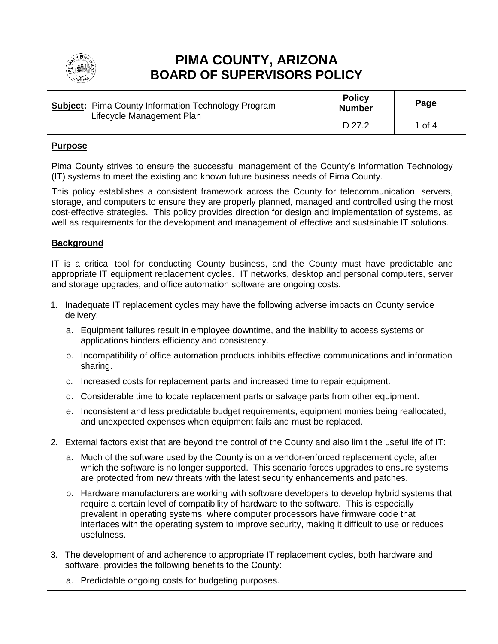

# **PIMA COUNTY, ARIZONA BOARD OF SUPERVISORS POLICY**

|  | <b>Subject:</b> Pima County Information Technology Program<br>Lifecycle Management Plan | <b>Policy</b><br><b>Number</b> | Page   |
|--|-----------------------------------------------------------------------------------------|--------------------------------|--------|
|  |                                                                                         | D 27.2                         | 1 of 4 |

### **Purpose**

Pima County strives to ensure the successful management of the County's Information Technology (IT) systems to meet the existing and known future business needs of Pima County.

This policy establishes a consistent framework across the County for telecommunication, servers, storage, and computers to ensure they are properly planned, managed and controlled using the most cost-effective strategies. This policy provides direction for design and implementation of systems, as well as requirements for the development and management of effective and sustainable IT solutions.

## **Background**

IT is a critical tool for conducting County business, and the County must have predictable and appropriate IT equipment replacement cycles. IT networks, desktop and personal computers, server and storage upgrades, and office automation software are ongoing costs.

- 1. Inadequate IT replacement cycles may have the following adverse impacts on County service delivery:
	- a. Equipment failures result in employee downtime, and the inability to access systems or applications hinders efficiency and consistency.
	- b. Incompatibility of office automation products inhibits effective communications and information sharing.
	- c. Increased costs for replacement parts and increased time to repair equipment.
	- d. Considerable time to locate replacement parts or salvage parts from other equipment.
	- e. Inconsistent and less predictable budget requirements, equipment monies being reallocated, and unexpected expenses when equipment fails and must be replaced.
- 2. External factors exist that are beyond the control of the County and also limit the useful life of IT:
	- a. Much of the software used by the County is on a vendor-enforced replacement cycle, after which the software is no longer supported. This scenario forces upgrades to ensure systems are protected from new threats with the latest security enhancements and patches.
	- b. Hardware manufacturers are working with software developers to develop hybrid systems that require a certain level of compatibility of hardware to the software. This is especially prevalent in operating systems where computer processors have firmware code that interfaces with the operating system to improve security, making it difficult to use or reduces usefulness.
- 3. The development of and adherence to appropriate IT replacement cycles, both hardware and software, provides the following benefits to the County:
	- a. Predictable ongoing costs for budgeting purposes.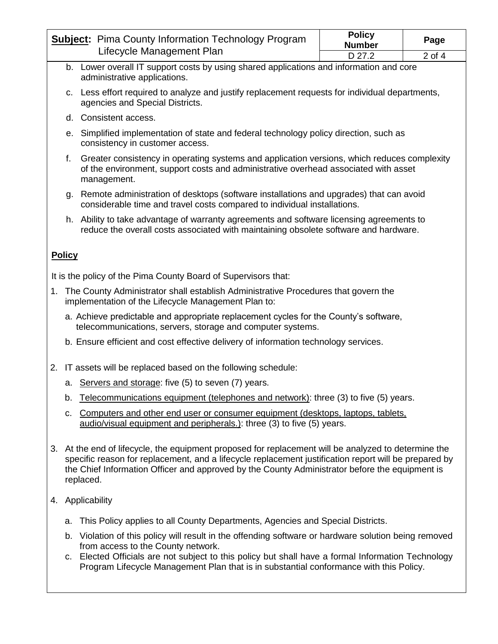| <b>Subject:</b> Pima County Information Technology Program<br>Lifecycle Management Plan |                                                                                                                                                                                                   | <b>Policy</b><br><b>Number</b> | Page       |  |  |
|-----------------------------------------------------------------------------------------|---------------------------------------------------------------------------------------------------------------------------------------------------------------------------------------------------|--------------------------------|------------|--|--|
|                                                                                         |                                                                                                                                                                                                   | D 27.2                         | $2$ of $4$ |  |  |
|                                                                                         | b. Lower overall IT support costs by using shared applications and information and core<br>administrative applications.                                                                           |                                |            |  |  |
|                                                                                         | c. Less effort required to analyze and justify replacement requests for individual departments,<br>agencies and Special Districts.                                                                |                                |            |  |  |
|                                                                                         | d. Consistent access.                                                                                                                                                                             |                                |            |  |  |
|                                                                                         | e. Simplified implementation of state and federal technology policy direction, such as<br>consistency in customer access.                                                                         |                                |            |  |  |
| f.                                                                                      | Greater consistency in operating systems and application versions, which reduces complexity<br>of the environment, support costs and administrative overhead associated with asset<br>management. |                                |            |  |  |
|                                                                                         | g. Remote administration of desktops (software installations and upgrades) that can avoid<br>considerable time and travel costs compared to individual installations.                             |                                |            |  |  |
|                                                                                         | h. Ability to take advantage of warranty agreements and software licensing agreements to<br>reduce the overall costs associated with maintaining obsolete software and hardware.                  |                                |            |  |  |
| <b>Policy</b>                                                                           |                                                                                                                                                                                                   |                                |            |  |  |
| It is the policy of the Pima County Board of Supervisors that:                          |                                                                                                                                                                                                   |                                |            |  |  |
|                                                                                         | 1. The County Administrator shall establish Administrative Procedures that govern the<br>implementation of the Lifecycle Management Plan to:                                                      |                                |            |  |  |
|                                                                                         | a. Achieve predictable and appropriate replacement cycles for the County's software,<br>telecommunications, servers, storage and computer systems.                                                |                                |            |  |  |
|                                                                                         | b. Ensure efficient and cost effective delivery of information technology services.                                                                                                               |                                |            |  |  |
|                                                                                         | 2. IT assets will be replaced based on the following schedule:                                                                                                                                    |                                |            |  |  |
| а.                                                                                      | Servers and storage: five (5) to seven (7) years.                                                                                                                                                 |                                |            |  |  |
| b.                                                                                      | Telecommunications equipment (telephones and network): three (3) to five (5) years.                                                                                                               |                                |            |  |  |

- c. Computers and other end user or consumer equipment (desktops, laptops, tablets, audio/visual equipment and peripherals.): three (3) to five (5) years.
- 3. At the end of lifecycle, the equipment proposed for replacement will be analyzed to determine the specific reason for replacement, and a lifecycle replacement justification report will be prepared by the Chief Information Officer and approved by the County Administrator before the equipment is replaced.
- 4. Applicability
	- a. This Policy applies to all County Departments, Agencies and Special Districts.
	- b. Violation of this policy will result in the offending software or hardware solution being removed from access to the County network.
	- c. Elected Officials are not subject to this policy but shall have a formal Information Technology Program Lifecycle Management Plan that is in substantial conformance with this Policy.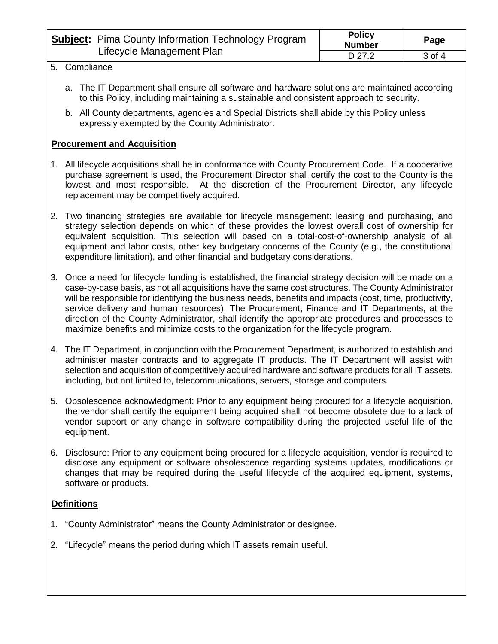| <b>Subject:</b> Pima County Information Technology Program<br>Lifecycle Management Plan | <b>Policy</b><br><b>Number</b> | Page   |
|-----------------------------------------------------------------------------------------|--------------------------------|--------|
|                                                                                         | D 27.2                         | 3 of 4 |

#### 5. Compliance

- a. The IT Department shall ensure all software and hardware solutions are maintained according to this Policy, including maintaining a sustainable and consistent approach to security.
- b. All County departments, agencies and Special Districts shall abide by this Policy unless expressly exempted by the County Administrator.

## **Procurement and Acquisition**

- 1. All lifecycle acquisitions shall be in conformance with County Procurement Code. If a cooperative purchase agreement is used, the Procurement Director shall certify the cost to the County is the lowest and most responsible. At the discretion of the Procurement Director, any lifecycle replacement may be competitively acquired.
- 2. Two financing strategies are available for lifecycle management: leasing and purchasing, and strategy selection depends on which of these provides the lowest overall cost of ownership for equivalent acquisition. This selection will based on a total-cost-of-ownership analysis of all equipment and labor costs, other key budgetary concerns of the County (e.g., the constitutional expenditure limitation), and other financial and budgetary considerations.
- 3. Once a need for lifecycle funding is established, the financial strategy decision will be made on a case-by-case basis, as not all acquisitions have the same cost structures. The County Administrator will be responsible for identifying the business needs, benefits and impacts (cost, time, productivity, service delivery and human resources). The Procurement, Finance and IT Departments, at the direction of the County Administrator, shall identify the appropriate procedures and processes to maximize benefits and minimize costs to the organization for the lifecycle program.
- 4. The IT Department, in conjunction with the Procurement Department, is authorized to establish and administer master contracts and to aggregate IT products. The IT Department will assist with selection and acquisition of competitively acquired hardware and software products for all IT assets, including, but not limited to, telecommunications, servers, storage and computers.
- 5. Obsolescence acknowledgment: Prior to any equipment being procured for a lifecycle acquisition, the vendor shall certify the equipment being acquired shall not become obsolete due to a lack of vendor support or any change in software compatibility during the projected useful life of the equipment.
- 6. Disclosure: Prior to any equipment being procured for a lifecycle acquisition, vendor is required to disclose any equipment or software obsolescence regarding systems updates, modifications or changes that may be required during the useful lifecycle of the acquired equipment, systems, software or products.

## **Definitions**

- 1. "County Administrator" means the County Administrator or designee.
- 2. "Lifecycle" means the period during which IT assets remain useful.